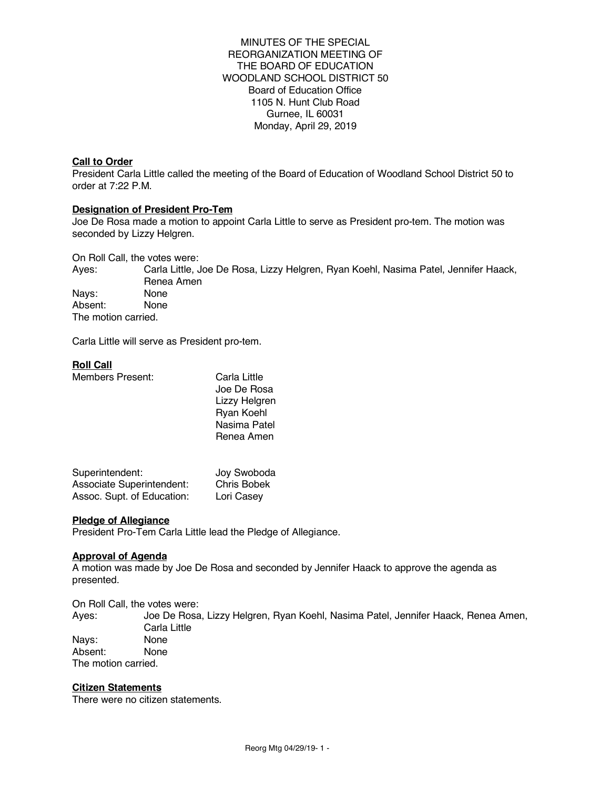MINUTES OF THE SPECIAL REORGANIZATION MEETING OF THE BOARD OF EDUCATION WOODLAND SCHOOL DISTRICT 50 Board of Education Office 1105 N. Hunt Club Road Gurnee, IL 60031 Monday, April 29, 2019

## **Call to Order**

President Carla Little called the meeting of the Board of Education of Woodland School District 50 to order at 7:22 P.M.

## **Designation of President Pro-Tem**

Joe De Rosa made a motion to appoint Carla Little to serve as President pro-tem. The motion was seconded by Lizzy Helgren.

On Roll Call, the votes were:

Ayes: Carla Little, Joe De Rosa, Lizzy Helgren, Ryan Koehl, Nasima Patel, Jennifer Haack, Renea Amen Nays: None Absent: None The motion carried.

Carla Little will serve as President pro-tem.

## **Roll Call**

Members Present: Carla Little

Joe De Rosa Lizzy Helgren Ryan Koehl Nasima Patel Renea Amen

| Superintendent:                  | Joy Swoboda |
|----------------------------------|-------------|
| <b>Associate Superintendent:</b> | Chris Bobek |
| Assoc. Supt. of Education:       | Lori Casey  |

## **Pledge of Allegiance**

President Pro-Tem Carla Little lead the Pledge of Allegiance.

## **Approval of Agenda**

A motion was made by Joe De Rosa and seconded by Jennifer Haack to approve the agenda as presented.

On Roll Call, the votes were:

Ayes: Joe De Rosa, Lizzy Helgren, Ryan Koehl, Nasima Patel, Jennifer Haack, Renea Amen, Carla Little<br>None Nays: Absent: None The motion carried.

## **Citizen Statements**

There were no citizen statements.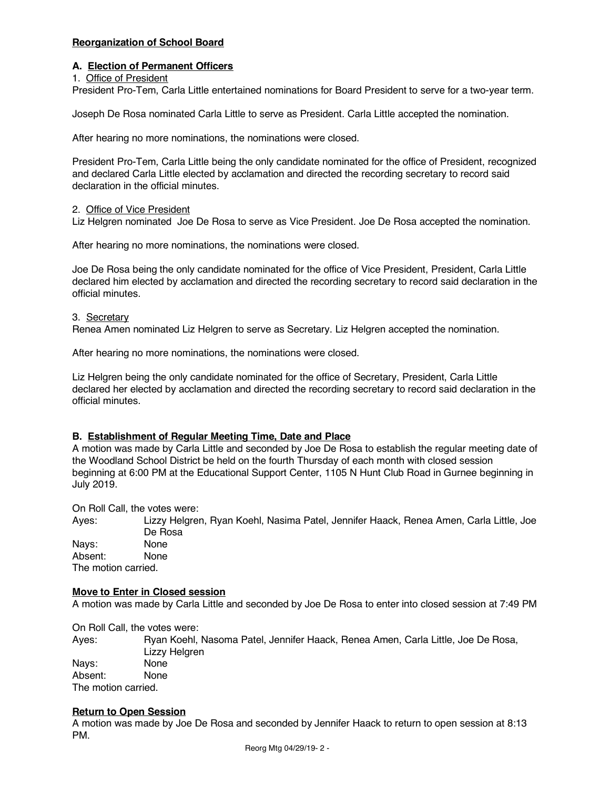# **Reorganization of School Board**

## **A. Election of Permanent Officers**

1. Office of President

President Pro-Tem, Carla Little entertained nominations for Board President to serve for a two-year term.

Joseph De Rosa nominated Carla Little to serve as President. Carla Little accepted the nomination.

After hearing no more nominations, the nominations were closed.

President Pro-Tem, Carla Little being the only candidate nominated for the office of President, recognized and declared Carla Little elected by acclamation and directed the recording secretary to record said declaration in the official minutes.

# 2. Office of Vice President

Liz Helgren nominated Joe De Rosa to serve as Vice President. Joe De Rosa accepted the nomination.

After hearing no more nominations, the nominations were closed.

Joe De Rosa being the only candidate nominated for the office of Vice President, President, Carla Little declared him elected by acclamation and directed the recording secretary to record said declaration in the official minutes.

# 3. Secretary

Renea Amen nominated Liz Helgren to serve as Secretary. Liz Helgren accepted the nomination.

After hearing no more nominations, the nominations were closed.

Liz Helgren being the only candidate nominated for the office of Secretary, President, Carla Little declared her elected by acclamation and directed the recording secretary to record said declaration in the official minutes.

# **B. Establishment of Regular Meeting Time, Date and Place**

A motion was made by Carla Little and seconded by Joe De Rosa to establish the regular meeting date of the Woodland School District be held on the fourth Thursday of each month with closed session beginning at 6:00 PM at the Educational Support Center, 1105 N Hunt Club Road in Gurnee beginning in July 2019.

On Roll Call, the votes were:

Ayes: Lizzy Helgren, Ryan Koehl, Nasima Patel, Jennifer Haack, Renea Amen, Carla Little, Joe De Rosa Nays: None Absent: None

The motion carried.

## **Move to Enter in Closed session**

A motion was made by Carla Little and seconded by Joe De Rosa to enter into closed session at 7:49 PM

On Roll Call, the votes were:

Ayes: Ryan Koehl, Nasoma Patel, Jennifer Haack, Renea Amen, Carla Little, Joe De Rosa, Lizzy Helgren Navs: Absent: None The motion carried.

## **Return to Open Session**

A motion was made by Joe De Rosa and seconded by Jennifer Haack to return to open session at 8:13 PM.